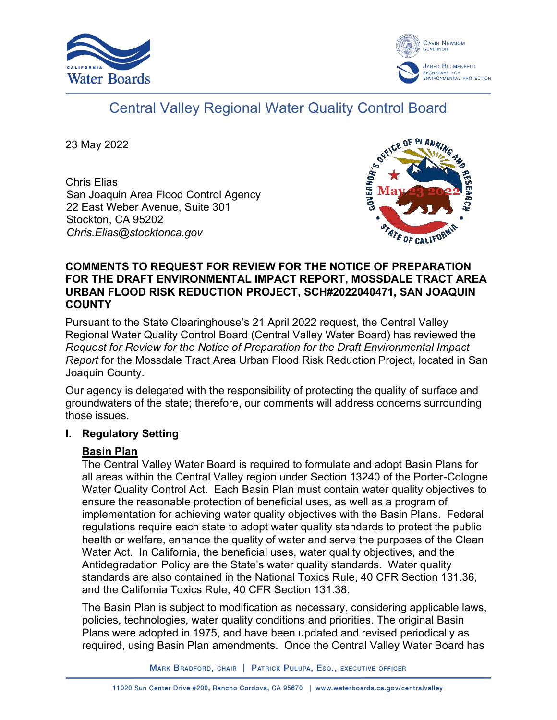



# Central Valley Regional Water Quality Control Board

23 May 2022

Chris Elias San Joaquin Area Flood Control Agency 22 East Weber Avenue, Suite 301 Stockton, CA 95202 *Chris.Elias@stocktonca.gov*



## **COMMENTS TO REQUEST FOR REVIEW FOR THE NOTICE OF PREPARATION FOR THE DRAFT ENVIRONMENTAL IMPACT REPORT, MOSSDALE TRACT AREA URBAN FLOOD RISK REDUCTION PROJECT, SCH#2022040471, SAN JOAQUIN COUNTY**

Pursuant to the State Clearinghouse's 21 April 2022 request, the Central Valley Regional Water Quality Control Board (Central Valley Water Board) has reviewed the *Request for Review for the Notice of Preparation for the Draft Environmental Impact Report* for the Mossdale Tract Area Urban Flood Risk Reduction Project, located in San Joaquin County.

Our agency is delegated with the responsibility of protecting the quality of surface and groundwaters of the state; therefore, our comments will address concerns surrounding those issues.

## **I. Regulatory Setting**

## **Basin Plan**

The Central Valley Water Board is required to formulate and adopt Basin Plans for all areas within the Central Valley region under Section 13240 of the Porter-Cologne Water Quality Control Act. Each Basin Plan must contain water quality objectives to ensure the reasonable protection of beneficial uses, as well as a program of implementation for achieving water quality objectives with the Basin Plans. Federal regulations require each state to adopt water quality standards to protect the public health or welfare, enhance the quality of water and serve the purposes of the Clean Water Act. In California, the beneficial uses, water quality objectives, and the Antidegradation Policy are the State's water quality standards. Water quality standards are also contained in the National Toxics Rule, 40 CFR Section 131.36, and the California Toxics Rule, 40 CFR Section 131.38.

The Basin Plan is subject to modification as necessary, considering applicable laws, policies, technologies, water quality conditions and priorities. The original Basin Plans were adopted in 1975, and have been updated and revised periodically as required, using Basin Plan amendments. Once the Central Valley Water Board has

MARK BRADFORD, CHAIR | PATRICK PULUPA, ESQ., EXECUTIVE OFFICER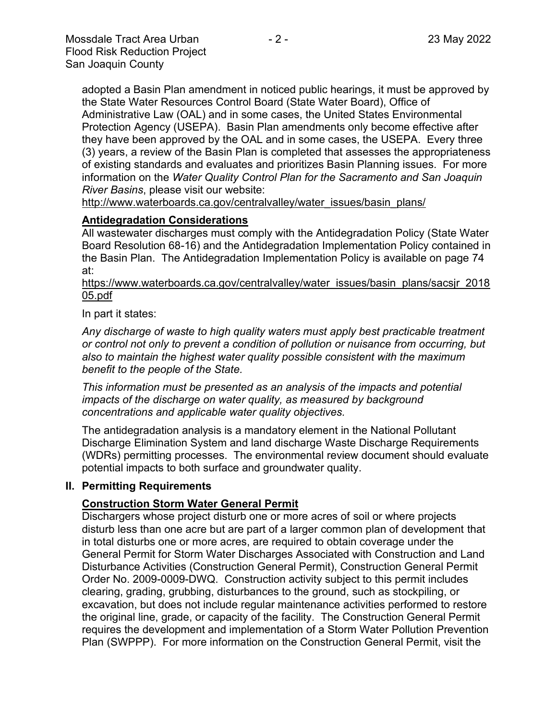adopted a Basin Plan amendment in noticed public hearings, it must be approved by the State Water Resources Control Board (State Water Board), Office of Administrative Law (OAL) and in some cases, the United States Environmental Protection Agency (USEPA). Basin Plan amendments only become effective after they have been approved by the OAL and in some cases, the USEPA. Every three (3) years, a review of the Basin Plan is completed that assesses the appropriateness of existing standards and evaluates and prioritizes Basin Planning issues. For more information on the *Water Quality Control Plan for the Sacramento and San Joaquin River Basins*, please visit our website:

[http://www.waterboards.ca.gov/centralvalley/water\\_issues/basin\\_plans/](http://www.waterboards.ca.gov/centralvalley/water_issues/basin_plans/)

#### **Antidegradation Considerations**

All wastewater discharges must comply with the Antidegradation Policy (State Water Board Resolution 68-16) and the Antidegradation Implementation Policy contained in the Basin Plan. The Antidegradation Implementation Policy is available on page 74 at:

https://www.waterboards.ca.gov/centralvalley/water\_issues/basin\_plans/sacsjr\_2018 05.pdf

In part it states:

*Any discharge of waste to high quality waters must apply best practicable treatment or control not only to prevent a condition of pollution or nuisance from occurring, but also to maintain the highest water quality possible consistent with the maximum benefit to the people of the State.*

*This information must be presented as an analysis of the impacts and potential impacts of the discharge on water quality, as measured by background concentrations and applicable water quality objectives.*

The antidegradation analysis is a mandatory element in the National Pollutant Discharge Elimination System and land discharge Waste Discharge Requirements (WDRs) permitting processes. The environmental review document should evaluate potential impacts to both surface and groundwater quality.

#### **II. Permitting Requirements**

#### **Construction Storm Water General Permit**

Dischargers whose project disturb one or more acres of soil or where projects disturb less than one acre but are part of a larger common plan of development that in total disturbs one or more acres, are required to obtain coverage under the General Permit for Storm Water Discharges Associated with Construction and Land Disturbance Activities (Construction General Permit), Construction General Permit Order No. 2009-0009-DWQ. Construction activity subject to this permit includes clearing, grading, grubbing, disturbances to the ground, such as stockpiling, or excavation, but does not include regular maintenance activities performed to restore the original line, grade, or capacity of the facility. The Construction General Permit requires the development and implementation of a Storm Water Pollution Prevention Plan (SWPPP). For more information on the Construction General Permit, visit the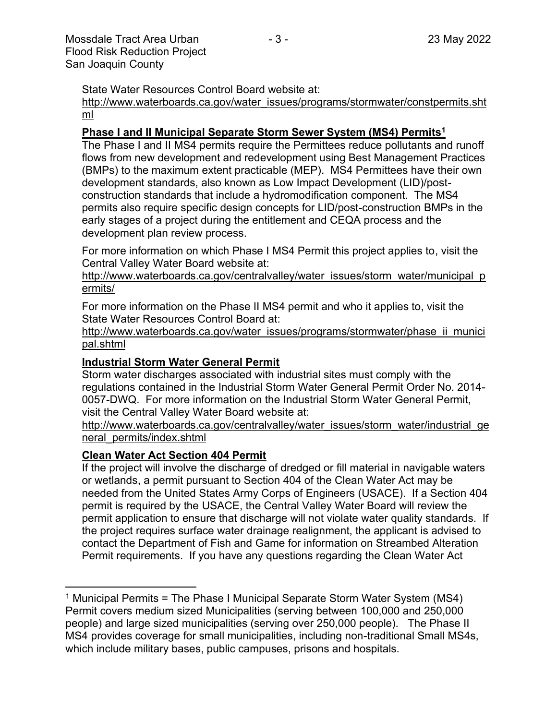State Water Resources Control Board website at:

#### [http://www.waterboards.ca.gov/water\\_issues/programs/stormwater/constpermits.sht](http://www.waterboards.ca.gov/water_issues/programs/stormwater/constpermits.shtml) [ml](http://www.waterboards.ca.gov/water_issues/programs/stormwater/constpermits.shtml)

## **Phase I and II Municipal Separate Storm Sewer System (MS4) Permits<sup>1</sup>**

The Phase I and II MS4 permits require the Permittees reduce pollutants and runoff flows from new development and redevelopment using Best Management Practices (BMPs) to the maximum extent practicable (MEP). MS4 Permittees have their own development standards, also known as Low Impact Development (LID)/postconstruction standards that include a hydromodification component. The MS4 permits also require specific design concepts for LID/post-construction BMPs in the early stages of a project during the entitlement and CEQA process and the development plan review process.

For more information on which Phase I MS4 Permit this project applies to, visit the Central Valley Water Board website at:

http://www.waterboards.ca.gov/centralvalley/water\_issues/storm\_water/municipal\_p ermits/

For more information on the Phase II MS4 permit and who it applies to, visit the State Water Resources Control Board at:

http://www.waterboards.ca.gov/water\_issues/programs/stormwater/phase\_ii\_munici pal.shtml

#### **Industrial Storm Water General Permit**

Storm water discharges associated with industrial sites must comply with the regulations contained in the Industrial Storm Water General Permit Order No. 2014- 0057-DWQ. For more information on the Industrial Storm Water General Permit, visit the Central Valley Water Board website at:

http://www.waterboards.ca.gov/centralvalley/water\_issues/storm\_water/industrial\_ge neral\_permits/index.shtml

#### **Clean Water Act Section 404 Permit**

If the project will involve the discharge of dredged or fill material in navigable waters or wetlands, a permit pursuant to Section 404 of the Clean Water Act may be needed from the United States Army Corps of Engineers (USACE). If a Section 404 permit is required by the USACE, the Central Valley Water Board will review the permit application to ensure that discharge will not violate water quality standards. If the project requires surface water drainage realignment, the applicant is advised to contact the Department of Fish and Game for information on Streambed Alteration Permit requirements. If you have any questions regarding the Clean Water Act

<sup>&</sup>lt;sup>1</sup> Municipal Permits = The Phase I Municipal Separate Storm Water System (MS4) Permit covers medium sized Municipalities (serving between 100,000 and 250,000 people) and large sized municipalities (serving over 250,000 people). The Phase II MS4 provides coverage for small municipalities, including non-traditional Small MS4s, which include military bases, public campuses, prisons and hospitals.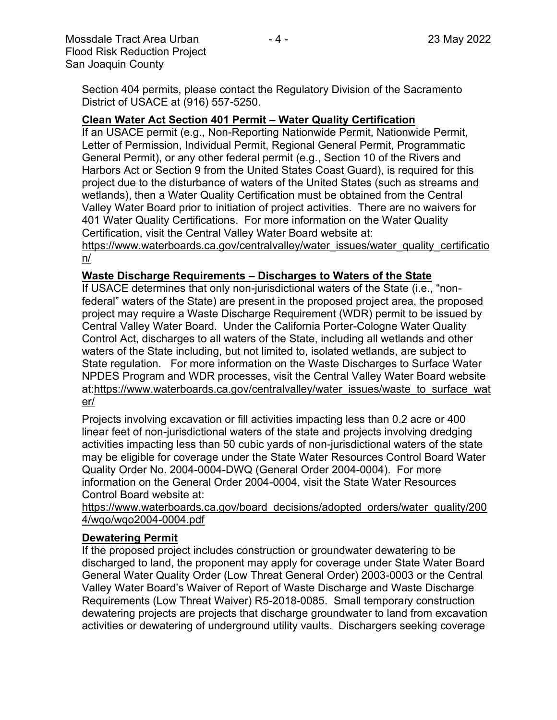Section 404 permits, please contact the Regulatory Division of the Sacramento District of USACE at (916) 557-5250.

## **Clean Water Act Section 401 Permit – Water Quality Certification**

If an USACE permit (e.g., Non-Reporting Nationwide Permit, Nationwide Permit, Letter of Permission, Individual Permit, Regional General Permit, Programmatic General Permit), or any other federal permit (e.g., Section 10 of the Rivers and Harbors Act or Section 9 from the United States Coast Guard), is required for this project due to the disturbance of waters of the United States (such as streams and wetlands), then a Water Quality Certification must be obtained from the Central Valley Water Board prior to initiation of project activities. There are no waivers for 401 Water Quality Certifications. For more information on the Water Quality Certification, visit the Central Valley Water Board website at:

https://www.waterboards.ca.gov/centralvalley/water\_issues/water\_quality\_certificatio n/

## **Waste Discharge Requirements – Discharges to Waters of the State**

If USACE determines that only non-jurisdictional waters of the State (i.e., "nonfederal" waters of the State) are present in the proposed project area, the proposed project may require a Waste Discharge Requirement (WDR) permit to be issued by Central Valley Water Board. Under the California Porter-Cologne Water Quality Control Act, discharges to all waters of the State, including all wetlands and other waters of the State including, but not limited to, isolated wetlands, are subject to State regulation. For more information on the Waste Discharges to Surface Water NPDES Program and WDR processes, visit the Central Valley Water Board website at:https://www.waterboards.ca.gov/centralvalley/water\_issues/waste\_to\_surface\_wat er/

Projects involving excavation or fill activities impacting less than 0.2 acre or 400 linear feet of non-jurisdictional waters of the state and projects involving dredging activities impacting less than 50 cubic yards of non-jurisdictional waters of the state may be eligible for coverage under the State Water Resources Control Board Water Quality Order No. 2004-0004-DWQ (General Order 2004-0004). For more information on the General Order 2004-0004, visit the State Water Resources Control Board website at:

https://www.waterboards.ca.gov/board\_decisions/adopted\_orders/water\_quality/200 4/wqo/wqo2004-0004.pdf

## **Dewatering Permit**

If the proposed project includes construction or groundwater dewatering to be discharged to land, the proponent may apply for coverage under State Water Board General Water Quality Order (Low Threat General Order) 2003-0003 or the Central Valley Water Board's Waiver of Report of Waste Discharge and Waste Discharge Requirements (Low Threat Waiver) R5-2018-0085. Small temporary construction dewatering projects are projects that discharge groundwater to land from excavation activities or dewatering of underground utility vaults. Dischargers seeking coverage